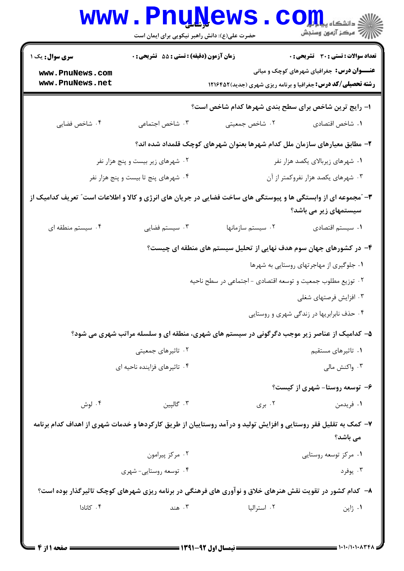|                                                                                                                                        | <b>WWW.PNUA</b><br>حضرت علی(ع): دانش راهبر نیکویی برای ایمان است | ews                                                                                        | I OII Luine<br>رِ ۖ مرڪز آزمون وسنڊش              |  |  |
|----------------------------------------------------------------------------------------------------------------------------------------|------------------------------------------------------------------|--------------------------------------------------------------------------------------------|---------------------------------------------------|--|--|
| <b>سری سوال :</b> یک ۱                                                                                                                 | <b>زمان آزمون (دقیقه) : تستی : 55 تشریحی : 0</b>                 |                                                                                            | <b>تعداد سوالات : تستی : 30 ٪ تشریحی : 0</b>      |  |  |
| www.PnuNews.com<br>www.PnuNews.net                                                                                                     |                                                                  | <b>رشته تحصیلی/کد درس:</b> جغرافیا و برنامه ریزی شهری (جدید) ۱۲۱۶۴۵۲                       | <b>عنـــوان درس:</b> جغرافیای شهرهای کوچک و میانی |  |  |
|                                                                                                                                        | ا- رایج ترین شاخص برای سطح بندی شهرها کدام شاخص است؟             |                                                                                            |                                                   |  |  |
| ۰۴ شاخص فضایی                                                                                                                          | ۰۳ شاخص اجتماعی                                                  | ۰۲ شاخص جمعیتی                                                                             | ٠١. شاخص اقتصادي                                  |  |  |
|                                                                                                                                        |                                                                  | ۲– مطابق معیارهای سازمان ملل کدام شهرها بعنوان شهرهای کوچک قلمداد شده اند؟                 |                                                   |  |  |
| ۰۲ شهرهای زیر بیست و پنج هزار نفر                                                                                                      |                                                                  |                                                                                            | ۰۱ شهرهای زیربالای یکصد هزار نفر                  |  |  |
| ۰۴ شهرهای پنج تا بیست و پنج هزار نفر                                                                                                   |                                                                  |                                                                                            | ۰۳ شهرهای یکصد هزار نفروکمتر از آن                |  |  |
| ۳- ″مجموعه ای از وابستگی ها و پیوستگی های ساخت فضایی در جریان های انرژی و کالا و اطلاعات است″ تعریف کدامیک از<br>سیستمهای زیر می باشد؟ |                                                                  |                                                                                            |                                                   |  |  |
| ۰۴ سیستم منطقه ای                                                                                                                      | ۰۳ سیستم فضایی                                                   | ٠٢ سيستم سازمانها                                                                          | ٠١ سيستم اقتصادى                                  |  |  |
|                                                                                                                                        |                                                                  | ۴– در کشورهای جهان سوم هدف نهایی از تحلیل سیستم های منطقه ای چیست؟                         |                                                   |  |  |
|                                                                                                                                        |                                                                  |                                                                                            | ۰۱ جلوگیری از مهاجرتهای روستایی به شهرها          |  |  |
|                                                                                                                                        |                                                                  | ۰۲ توزیع مطلوب جمعیت و توسعه اقتصادی - اجتماعی در سطح ناحیه                                |                                                   |  |  |
|                                                                                                                                        |                                                                  |                                                                                            | ۰۳ افزایش فرصتهای شغلی                            |  |  |
|                                                                                                                                        |                                                                  |                                                                                            | ۰۴ حذف نابرابریها در زندگی شهری و روستایی         |  |  |
|                                                                                                                                        |                                                                  | ۵- کدامیک از عناصر زیر موجب دگرگونی در سیستم های شهری، منطقه ای و سلسله مراتب شهری می شود؟ |                                                   |  |  |
| ۰۲ تاثیرهای جمعیتی                                                                                                                     |                                                                  |                                                                                            | ۰۱ تاثیرهای مستقیم                                |  |  |
| ۰۴ تاثیرهای فزاینده ناحیه ای                                                                                                           |                                                                  |                                                                                            | ۰۳ واکنش مالی                                     |  |  |
|                                                                                                                                        |                                                                  |                                                                                            | ۶- توسعه روستا- شهری از کیست؟                     |  |  |
| ۰۴ لوش                                                                                                                                 | ۰۳ گالپين                                                        | ۰۲ بری                                                                                     | ۰۱ فریدمن                                         |  |  |
| ۷– کمک به تقلیل فقر روستایی و افزایش تولید و درآمد روستاییان از طریق کارکردها و خدمات شهری از اهداف کدام برنامه<br>می باشد؟            |                                                                  |                                                                                            |                                                   |  |  |
|                                                                                                                                        | ۰۲ مرکز پیرامون                                                  |                                                                                            | ۰۱ مرکز توسعه روستایی                             |  |  |
|                                                                                                                                        | ۰۴ توسعه روستایی- شهری                                           |                                                                                            | ۰۳ يوفرد                                          |  |  |
| ۸– کدام کشور در تقویت نقش هنرهای خلاق و نوآوری های فرهنگی در برنامه ریزی شهرهای کوچک تاثیرگذار بوده است؟                               |                                                                  |                                                                                            |                                                   |  |  |
| ۰۴ کانادا                                                                                                                              | ۰۳ هند                                                           | ۰۲ استرالیا                                                                                | ۰۱ ژاپن                                           |  |  |
|                                                                                                                                        |                                                                  |                                                                                            |                                                   |  |  |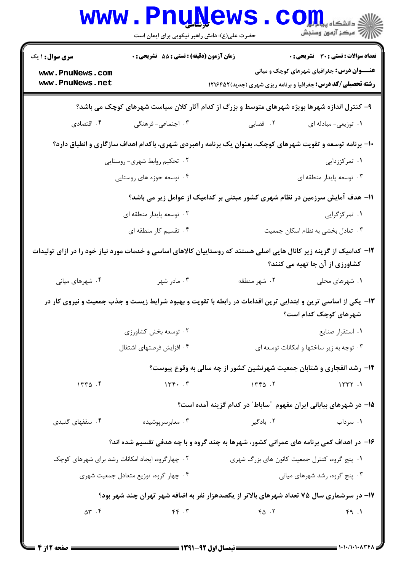| <b>WWW</b>                                                                                                                                          | حضرت علی(ع): دانش راهبر نیکویی برای ایمان است | Pnunews                                                                                                      | دانشگاه پ <b>یای</b><br>رِ آرمون وسنڊش                                                            |  |
|-----------------------------------------------------------------------------------------------------------------------------------------------------|-----------------------------------------------|--------------------------------------------------------------------------------------------------------------|---------------------------------------------------------------------------------------------------|--|
| <b>سری سوال : ۱ یک</b><br>www.PnuNews.com<br>www.PnuNews.net                                                                                        | زمان آزمون (دقیقه) : تستی : 55 آتشریحی : 0    | <b>رشته تحصیلی/کد درس:</b> جغرافیا و برنامه ریزی شهری (جدید)1۲۱۶۴۵۲                                          | <b>تعداد سوالات : تستی : 30 ٪ تشریحی : 0</b><br><b>عنـــوان درس:</b> جغرافیای شهرهای کوچک و میانی |  |
|                                                                                                                                                     |                                               |                                                                                                              |                                                                                                   |  |
|                                                                                                                                                     |                                               | ۹- کنترل اندازه شهرها بویژه شهرهای متوسط و بزرگ از کدام آثار کلان سیاست شهرهای کوچک می باشد؟                 |                                                                                                   |  |
| ۰۴ اقتصادی                                                                                                                                          | ۰۳ اجتماعی- فرهنگی                            | ۲. فضایی                                                                                                     | ۰۱ توزیعی- مبادله ای                                                                              |  |
|                                                                                                                                                     |                                               | +۱- برنامه توسعه و تقویت شهرهای کوچک، بعنوان یک برنامه راهبردی شهری، باکدام اهداف سازگاری و انطباق دارد؟     |                                                                                                   |  |
| ۰۲ تحکیم روابط شهری- روستایی                                                                                                                        |                                               |                                                                                                              | ۰۱ تمرکززدایی                                                                                     |  |
|                                                                                                                                                     | ۰۴ توسعه حوزه های روستایی                     |                                                                                                              | ۰۳ توسعه پایدار منطقه ای                                                                          |  |
| ۱۱– هدف آمایش سرزمین در نظام شهری کشور مبتنی بر کدامیک از عوامل زیر می باشد؟                                                                        |                                               |                                                                                                              |                                                                                                   |  |
| ۰۲ توسعه پایدار منطقه ای                                                                                                                            |                                               |                                                                                                              | ۰۱ تمرکزگرایی                                                                                     |  |
|                                                                                                                                                     | ۰۴ تقسیم کار منطقه ای                         |                                                                                                              | ۰۳ تعادل بخشی به نظام اسکان جمعیت                                                                 |  |
| ۱۲– کدامیک از گزینه زیر کانال هایی اصلی هستند که روستاییان کالاهای اساسی و خدمات مورد نیاز خود را در ازای تولیدات<br>کشاورزی از آن جا تهیه می کنند؟ |                                               |                                                                                                              |                                                                                                   |  |
| ۰۴ شهرهای میانی                                                                                                                                     | ۰۳ مادر شهر                                   | ۰۲ شهر منطقه                                                                                                 | ۰۱ شهرهای محلی                                                                                    |  |
|                                                                                                                                                     |                                               | ۱۳- یکی از اساسی ترین و ابتدایی ترین اقدامات در رابطه با تقویت و بهبود شرایط زیست و جذب جمعیت و نیروی کار در | شهرهای کوچک کدام است؟                                                                             |  |
|                                                                                                                                                     | ۰۲ توسعه بخش کشاورزی                          |                                                                                                              | ٠١ استقرار صنايع                                                                                  |  |
|                                                                                                                                                     | ۰۴ افزایش فرصتهای اشتغال                      |                                                                                                              | ۰۳ توجه به زیر ساختها و امکانات توسعه ای                                                          |  |
| ۱۴- رشد انفجاری و شتابان جمعیت شهرنشین کشور از چه سالی به وقوع پیوست؟                                                                               |                                               |                                                                                                              |                                                                                                   |  |
| 1550.5                                                                                                                                              | 156.7                                         | 1560.5                                                                                                       | 1577.1                                                                                            |  |
|                                                                                                                                                     |                                               | ۱۵– در شهرهای بیابانی ایران مفهوم ″ساباط″ در کدام گزینه آمده است؟                                            |                                                                                                   |  |
| ۰۴ سقفهای گنبدی                                                                                                                                     | ۰۳ معابر سر پوشیده                            | ۰۲ بادگیر                                                                                                    | ۰۱ سرداب                                                                                          |  |
|                                                                                                                                                     |                                               | ۱۶- در اهداف کمی برنامه های عمرانی کشور، شهرها به چند گروه و با چه هدفی تقسیم شده اند؟                       |                                                                                                   |  |
| ۰۲ چهار گروه، ایجاد امکانات رشد برای شهرهای کوچک                                                                                                    |                                               | ۰۱ پنج گروه، کنترل جمعیت کانون های بزرگ شهری                                                                 |                                                                                                   |  |
| ۰۴ چهار گروه، توزیع متعادل جمعیت شهری                                                                                                               |                                               | ۰۳ پنج گروه، رشد شهرهای میانی                                                                                |                                                                                                   |  |
| ۱۷- در سرشماری سال ۷۵ تعداد شهرهای بالاتر از یکصدهزار نفر به اضافه شهر تهران چند شهر بود؟                                                           |                                               |                                                                                                              |                                                                                                   |  |
| $\Delta \Upsilon$ . $\Upsilon$                                                                                                                      | $Y - 79$                                      | $Y_{\Delta}$ .                                                                                               | 49.1                                                                                              |  |
|                                                                                                                                                     |                                               |                                                                                                              |                                                                                                   |  |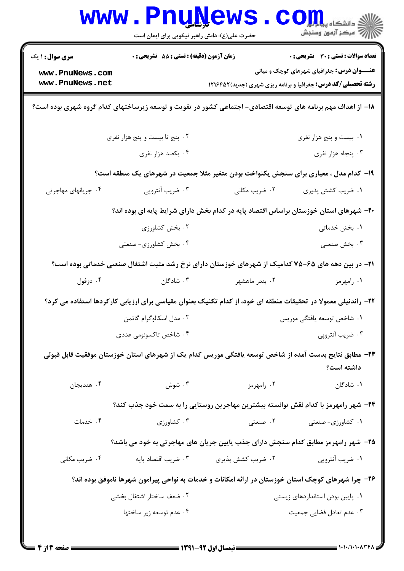| <b>WWW</b>                                                                                                 | <b>Luğüews</b><br>حضرت علی(ع): دانش راهبر نیکویی برای ایمان است |                   | ک دانشکاه پ <b>یا ب<sup>ا</sup> ت<mark>و</mark>ر</b><br>سكز آزمون وسنجش                                                   |  |
|------------------------------------------------------------------------------------------------------------|-----------------------------------------------------------------|-------------------|---------------------------------------------------------------------------------------------------------------------------|--|
| <b>سری سوال : ۱ یک</b>                                                                                     | <b>زمان آزمون (دقیقه) : تستی : 55 تشریحی : 0</b>                |                   | <b>تعداد سوالات : تستی : 30 ٪ تشریحی : 0</b>                                                                              |  |
| www.PnuNews.com<br>www.PnuNews.net                                                                         |                                                                 |                   | <b>عنـــوان درس:</b> جغرافیای شهرهای کوچک و میانی<br><b>رشته تحصیلی/کد درس:</b> جغرافیا و برنامه ریزی شهری (جدید) ۱۲۱۶۴۵۲ |  |
|                                                                                                            |                                                                 |                   | ۱۸– از اهداف مهم برنامه های توسعه اقتصادی- اجتماعی کشور در تقویت و توسعه زیرساختهای کدام گروه شهری بوده است؟              |  |
|                                                                                                            | ۰۲ پنج تا بیست و پنج هزار نفری                                  |                   | ۰۱ بیست و پنج هزار نفری                                                                                                   |  |
|                                                                                                            | ۰۴ يكصد هزار نفري                                               |                   | ۰۳ پنجاه هزار نفری                                                                                                        |  |
| ۱۹- کدام مدل ، معیاری برای سنجش یکنواخت بودن متغیر مثلا جمعیت در شهرهای یک منطقه است؟                      |                                                                 |                   |                                                                                                                           |  |
| ۰۴ جریانهای مهاجرتی                                                                                        | ۰۳ ضریب آنتروپی                                                 | ۰۲ ضریب مکانی     | ٠١ ضريب كشش پذيرى                                                                                                         |  |
| ۲۰- شهرهای استان خوزستان براساس اقتصاد پایه در کدام بخش دارای شرایط پایه ای بوده اند؟                      |                                                                 |                   |                                                                                                                           |  |
|                                                                                                            | ۰۲ بخش کشاورزی                                                  |                   | ۰۱ بخش خدماتی                                                                                                             |  |
|                                                                                                            | ۰۴ بخش کشاورزی- صنعتی                                           |                   | ۰۳ بخش صنعتی                                                                                                              |  |
| <b>۲۱</b> – در بین دهه های ۶۵–۷۵ کدامیک از شهرهای خوزستان دارای نرخ رشد مثبت اشتغال صنعتی خدماتی بوده است؟ |                                                                 |                   |                                                                                                                           |  |
| ۰۴ دزفول                                                                                                   | ۰۳ شادگان                                                       | ۰۲ بندر ماهشهر    | ۰۱ رامهرمز                                                                                                                |  |
|                                                                                                            |                                                                 |                   | ۲۲- راندنیلی معمولا در تحقیقات منطقه ای خود، از کدام تکنیک بعنوان مقیاسی برای ارزیابی کارکردها استفاده می کرد؟            |  |
|                                                                                                            | ۰۲ مدل اسکالوگرام گاتمن                                         |                   | ۰۱ شاخص توسعه يافتگى موريس                                                                                                |  |
|                                                                                                            | ۰۴ شاخص تاکسونومی عددی                                          |                   | ۰۳ ضریب آنتروپی                                                                                                           |  |
|                                                                                                            |                                                                 |                   | ۲۳– مطابق نتایج بدست آمده از شاخص توسعه یافتگی موریس کدام یک از شهرهای استان خوزستان موفقیت قابل قبولی<br>داشته است؟      |  |
| ۰۴ هنديجان                                                                                                 | ۰۳ شوش                                                          | ۰۲ رامهرمز        | ۰۱ شادگان                                                                                                                 |  |
|                                                                                                            |                                                                 |                   | ۲۴– شهر رامهرمز با کدام نقش توانسته بیشترین مهاجرین روستایی را به سمت خود جذب کند؟                                        |  |
| ۰۴ خدمات                                                                                                   | ۰۳ کشاورزی                                                      | ۰۲ صنعتی          | ۰۱ کشاورزی- صنعتی                                                                                                         |  |
| ۲۵– شهر رامهرمز مطابق کدام سنجش دارای جذب پایین جریان های مهاجرتی به خود می باشد؟                          |                                                                 |                   |                                                                                                                           |  |
| ۰۴ ضریب مکانی                                                                                              | ۰۳ ضريب اقتصاد پايه                                             | ۰۲ ضریب کشش پذیری | ۰۱ ضریب آنتروپی                                                                                                           |  |
| ۲۶– چرا شهرهای کوچک استان خوزستان در ارائه امکانات و خدمات به نواحی پیرامون شهرها ناموفق بوده اند؟         |                                                                 |                   |                                                                                                                           |  |
|                                                                                                            | ۰۲ ضعف ساختار اشتغال بخشي                                       |                   | ۰۱ پایین بودن استانداردهای زیستی                                                                                          |  |
|                                                                                                            | ۰۴ عدم توسعه زير ساختها                                         |                   | ۰۳ عدم تعادل فضایی جمعیت                                                                                                  |  |
|                                                                                                            |                                                                 |                   |                                                                                                                           |  |